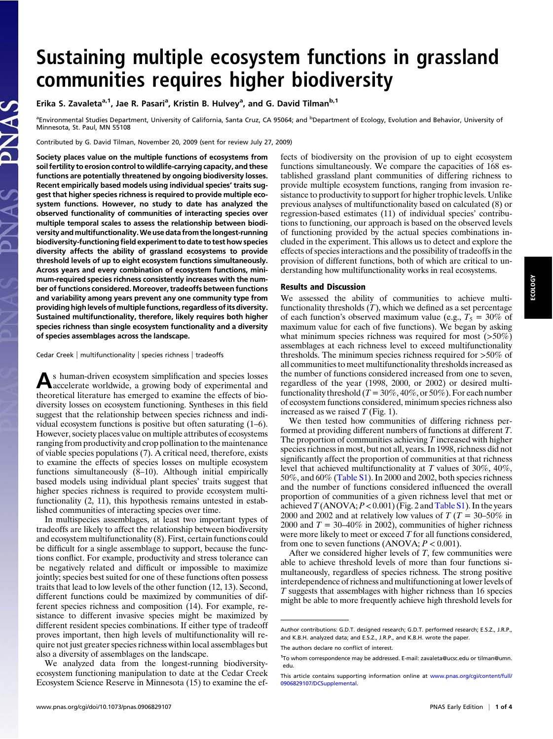## Sustaining multiple ecosystem functions in grassland communities requires higher biodiversity

Erika S. Zavaleta<sup>a, 1</sup>, Jae R. Pasari<sup>a</sup>, Kristin B. Hulvey<sup>a</sup>, and G. David Tilman<sup>b, 1</sup>

<sup>a</sup>Environmental Studies Department, University of California, Santa Cruz, CA 95064; and <sup>b</sup>Department of Ecology, Evolution and Behavior, University of Minnesota, St. Paul, MN 55108

Contributed by G. David Tilman, November 20, 2009 (sent for review July 27, 2009)

Society places value on the multiple functions of ecosystems from soil fertility to erosion control to wildlife-carrying capacity, and these functions are potentially threatened by ongoing biodiversity losses. Recent empirically based models using individual species' traits suggest that higher species richness is required to provide multiple ecosystem functions. However, no study to date has analyzed the observed functionality of communities of interacting species over multiple temporal scales to assess the relationship between biodiversity and multifunctionality. We use data from the longest-running biodiversity-functioning field experiment to date to test how species diversity affects the ability of grassland ecosystems to provide threshold levels of up to eight ecosystem functions simultaneously. Across years and every combination of ecosystem functions, minimum-required species richness consistently increases with the number of functions considered. Moreover, tradeoffs between functions and variability among years prevent any one community type from providing high levels ofmultiple functions, regardless of its diversity. Sustained multifunctionality, therefore, likely requires both higher species richness than single ecosystem functionality and a diversity of species assemblages across the landscape.

Cedar Creek | multifunctionality | species richness | tradeoffs

As human-driven ecosystem simplification and species losses accelerate worldwide, a growing body of experimental and theoretical literature has emerged to examine the effects of biodiversity losses on ecosystem functioning. Syntheses in this field suggest that the relationship between species richness and individual ecosystem functions is positive but often saturating (1–6). However, society places value on multiple attributes of ecosystems ranging from productivity and crop pollination to the maintenance of viable species populations (7). A critical need, therefore, exists to examine the effects of species losses on multiple ecosystem functions simultaneously (8–10). Although initial empirically based models using individual plant species' traits suggest that higher species richness is required to provide ecosystem multifunctionality (2, 11), this hypothesis remains untested in established communities of interacting species over time.

In multispecies assemblages, at least two important types of tradeoffs are likely to affect the relationship between biodiversity and ecosystem multifunctionality (8). First, certain functions could be difficult for a single assemblage to support, because the functions conflict. For example, productivity and stress tolerance can be negatively related and difficult or impossible to maximize jointly; species best suited for one of these functions often possess traits that lead to low levels of the other function (12, 13). Second, different functions could be maximized by communities of different species richness and composition (14). For example, resistance to different invasive species might be maximized by different resident species combinations. If either type of tradeoff proves important, then high levels of multifunctionality will require not just greater species richness within local assemblages but also a diversity of assemblages on the landscape.

We analyzed data from the longest-running biodiversityecosystem functioning manipulation to date at the Cedar Creek Ecosystem Science Reserve in Minnesota (15) to examine the effects of biodiversity on the provision of up to eight ecosystem functions simultaneously. We compare the capacities of 168 established grassland plant communities of differing richness to provide multiple ecosystem functions, ranging from invasion resistance to productivity to support for higher trophic levels. Unlike previous analyses of multifunctionality based on calculated (8) or regression-based estimates (11) of individual species' contributions to functioning, our approach is based on the observed levels of functioning provided by the actual species combinations included in the experiment. This allows us to detect and explore the effects of species interactions and the possibility of tradeoffs in the provision of different functions, both of which are critical to understanding how multifunctionality works in real ecosystems.

## Results and Discussion

We assessed the ability of communities to achieve multifunctionality thresholds  $(T)$ , which we defined as a set percentage of each function's observed maximum value (e.g.,  $T_5 = 30\%$  of maximum value for each of five functions). We began by asking what minimum species richness was required for most  $($ >50%) assemblages at each richness level to exceed multifunctionality thresholds. The minimum species richness required for >50% of all communities to meet multifunctionality thresholds increased as the number of functions considered increased from one to seven, regardless of the year (1998, 2000, or 2002) or desired multifunctionality threshold ( $T = 30\%$ , 40%, or 50%). For each number of ecosystem functions considered, minimum species richness also increased as we raised  $T$  (Fig. 1).

We then tested how communities of differing richness performed at providing different numbers of functions at different T. The proportion of communities achieving  $T$  increased with higher species richness in most, but not all, years. In 1998, richness did not significantly affect the proportion of communities at that richness level that achieved multifunctionality at T values of 30%, 40%, 50%, and 60% [\(Table S1](http://www.pnas.org/cgi/data/0906829107/DCSupplemental/Supplemental_PDF#nameddest=st01)). In 2000 and 2002, both species richness and the number of functions considered influenced the overall proportion of communities of a given richness level that met or achieved  $T(\text{ANOVA}; P < 0.001)$  (Fig. 2 and [Table S1](http://www.pnas.org/cgi/data/0906829107/DCSupplemental/Supplemental_PDF#nameddest=st01)). In the years 2000 and 2002 and at relatively low values of  $T (T = 30-50\%)$  in 2000 and  $T = 30-40\%$  in 2002), communities of higher richness were more likely to meet or exceed T for all functions considered, from one to seven functions (ANOVA;  $P < 0.001$ ).

After we considered higher levels of  $T$ , few communities were able to achieve threshold levels of more than four functions simultaneously, regardless of species richness. The strong positive interdependence of richness and multifunctioning at lower levels of T suggests that assemblages with higher richness than 16 species might be able to more frequently achieve high threshold levels for

Author contributions: G.D.T. designed research; G.D.T. performed research; E.S.Z., J.R.P., and K.B.H. analyzed data; and E.S.Z., J.R.P., and K.B.H. wrote the paper.

The authors declare no conflict of interest.

<sup>&</sup>lt;sup>1</sup>To whom correspondence may be addressed. E-mail: [zavaleta@ucsc.edu](mailto:zavaleta@ucsc.edu) or [tilman@umn.](mailto:tilman@umn.edu) [edu.](mailto:tilman@umn.edu)

This article contains supporting information online at [www.pnas.org/cgi/content/full/](http://www.pnas.org/cgi/content/full/0906829107/DCSupplemental) [0906829107/DCSupplemental](http://www.pnas.org/cgi/content/full/0906829107/DCSupplemental).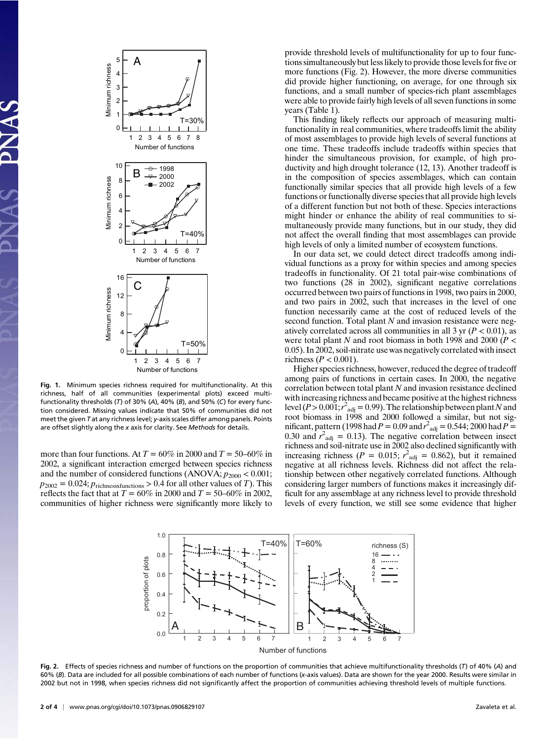

Fig. 1. Minimum species richness required for multifunctionality. At this richness, half of all communities (experimental plots) exceed multifunctionality thresholds (T) of 30% (A), 40% (B), and 50% (C) for every function considered. Missing values indicate that 50% of communities did not meet the given  $T$  at any richness level;  $y$ -axis scales differ among panels. Points are offset slightly along the x axis for clarity. See Methods for details.

more than four functions. At  $T = 60\%$  in 2000 and  $T = 50-60\%$  in 2002, a significant interaction emerged between species richness and the number of considered functions (ANOVA;  $p_{2000}$  < 0.001;  $p_{2002} = 0.024$ ;  $p_{\text{richness} \times \text{functions}} > 0.4$  for all other values of T). This reflects the fact that at  $T = 60\%$  in 2000 and  $T = 50{\text -}60\%$  in 2002, communities of higher richness were significantly more likely to provide threshold levels of multifunctionality for up to four functions simultaneously but less likely to provide those levels for five or more functions (Fig. 2). However, the more diverse communities did provide higher functioning, on average, for one through six functions, and a small number of species-rich plant assemblages were able to provide fairly high levels of all seven functions in some years (Table 1).

This finding likely reflects our approach of measuring multifunctionality in real communities, where tradeoffs limit the ability of most assemblages to provide high levels of several functions at one time. These tradeoffs include tradeoffs within species that hinder the simultaneous provision, for example, of high productivity and high drought tolerance (12, 13). Another tradeoff is in the composition of species assemblages, which can contain functionally similar species that all provide high levels of a few functions or functionally diverse species that all provide high levels of a different function but not both of these. Species interactions might hinder or enhance the ability of real communities to simultaneously provide many functions, but in our study, they did not affect the overall finding that most assemblages can provide high levels of only a limited number of ecosystem functions.

In our data set, we could detect direct tradeoffs among individual functions as a proxy for within species and among species tradeoffs in functionality. Of 21 total pair-wise combinations of two functions (28 in 2002), significant negative correlations occurred between two pairs of functions in 1998, two pairs in 2000, and two pairs in 2002, such that increases in the level of one function necessarily came at the cost of reduced levels of the second function. Total plant  $N$  and invasion resistance were negatively correlated across all communities in all 3 yr  $(P < 0.01)$ , as were total plant N and root biomass in both 1998 and 2000 ( $P$  < 0.05). In 2002, soil-nitrate use was negatively correlated with insect richness ( $P < 0.001$ ).

Higher species richness, however, reduced the degree of tradeoff among pairs of functions in certain cases. In 2000, the negative correlation between total plant  $N$  and invasion resistance declined with increasing richness and became positive at the highest richness level ( $P > 0.001$ ;  $r^2$ <sub>adj</sub> = 0.99). The relationship between plant N and root biomass in 1998 and 2000 followed a similar, but not significant, pattern (1998 had  $P = 0.09$  and  $r^2$ <sub>adj</sub> = 0.544; 2000 had  $P =$ 0.30 and  $r^2_{\text{adj}} = 0.13$ ). The negative correlation between insect richness and soil-nitrate use in 2002 also declined significantly with increasing richness ( $P = 0.015$ ;  $r<sup>2</sup>_{\text{adj}} = 0.862$ ), but it remained negative at all richness levels. Richness did not affect the relationship between other negatively correlated functions. Although considering larger numbers of functions makes it increasingly difficult for any assemblage at any richness level to provide threshold levels of every function, we still see some evidence that higher



Fig. 2. Effects of species richness and number of functions on the proportion of communities that achieve multifunctionality thresholds (T) of 40% (A) and 60% (B). Data are included for all possible combinations of each number of functions (x-axis values). Data are shown for the year 2000. Results were similar in 2002 but not in 1998, when species richness did not significantly affect the proportion of communities achieving threshold levels of multiple functions.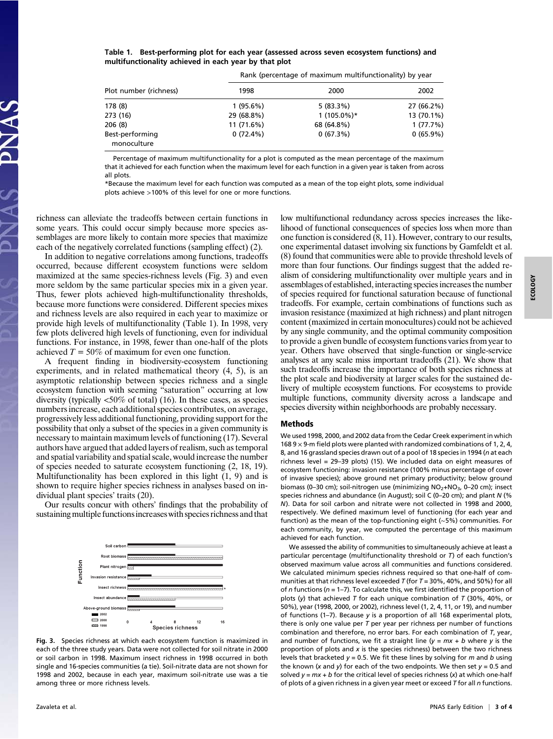Table 1. Best-performing plot for each year (assessed across seven ecosystem functions) and multifunctionality achieved in each year by that plot

Rank (percentage of maximum multifunctionality) by year

| Plot number (richness)         | $\frac{1}{2}$ |               |             |
|--------------------------------|---------------|---------------|-------------|
|                                | 1998          | 2000          | 2002        |
| 178 (8)                        | $1(95.6\%)$   | 5(83.3%)      | 27 (66.2%)  |
| 273 (16)                       | 29 (68.8%)    | $1(105.0\%)*$ | 13 (70.1%)  |
| 206(8)                         | 11 (71.6%)    | 68 (64.8%)    | 1(77.7%)    |
| Best-performing<br>monoculture | $0(72.4\%)$   | 0(67.3%)      | $0(65.9\%)$ |

Percentage of maximum multifunctionality for a plot is computed as the mean percentage of the maximum that it achieved for each function when the maximum level for each function in a given year is taken from across all plots.

\*Because the maximum level for each function was computed as a mean of the top eight plots, some individual plots achieve >100% of this level for one or more functions.

richness can alleviate the tradeoffs between certain functions in some years. This could occur simply because more species assemblages are more likely to contain more species that maximize each of the negatively correlated functions (sampling effect) (2).

In addition to negative correlations among functions, tradeoffs occurred, because different ecosystem functions were seldom maximized at the same species-richness levels (Fig. 3) and even more seldom by the same particular species mix in a given year. Thus, fewer plots achieved high-multifunctionality thresholds, because more functions were considered. Different species mixes and richness levels are also required in each year to maximize or provide high levels of multifunctionality (Table 1). In 1998, very few plots delivered high levels of functioning, even for individual functions. For instance, in 1998, fewer than one-half of the plots achieved  $T = 50\%$  of maximum for even one function.

A frequent finding in biodiversity-ecosystem functioning experiments, and in related mathematical theory (4, 5), is an asymptotic relationship between species richness and a single ecosystem function with seeming "saturation" occurring at low diversity (typically <50% of total) (16). In these cases, as species numbers increase, each additional species contributes, on average, progressively less additional functioning, providing support for the possibility that only a subset of the species in a given community is necessary to maintain maximum levels of functioning (17). Several authors have argued that added layers of realism, such as temporal and spatial variability and spatial scale, would increase the number of species needed to saturate ecosystem functioning (2, 18, 19). Multifunctionality has been explored in this light (1, 9) and is shown to require higher species richness in analyses based on individual plant species' traits (20).

Our results concur with others' findings that the probability of sustaining multiple functionsincreases with species richness and that



Fig. 3. Species richness at which each ecosystem function is maximized in each of the three study years. Data were not collected for soil nitrate in 2000 or soil carbon in 1998. Maximum insect richness in 1998 occurred in both single and 16-species communities (a tie). Soil-nitrate data are not shown for 1998 and 2002, because in each year, maximum soil-nitrate use was a tie among three or more richness levels.

low multifunctional redundancy across species increases the likelihood of functional consequences of species loss when more than one function is considered (8, 11). However, contrary to our results, one experimental dataset involving six functions by Gamfeldt et al. (8) found that communities were able to provide threshold levels of more than four functions. Our findings suggest that the added realism of considering multifunctionality over multiple years and in assemblages of established, interacting species increases the number of species required for functional saturation because of functional tradeoffs. For example, certain combinations of functions such as invasion resistance (maximized at high richness) and plant nitrogen content (maximized in certain monocultures) could not be achieved by any single community, and the optimal community composition to provide a given bundle of ecosystem functions varies from year to year. Others have observed that single-function or single-service analyses at any scale miss important tradeoffs (21). We show that such tradeoffs increase the importance of both species richness at the plot scale and biodiversity at larger scales for the sustained delivery of multiple ecosystem functions. For ecosystems to provide multiple functions, community diversity across a landscape and species diversity within neighborhoods are probably necessary.

## Methods

We used 1998, 2000, and 2002 data from the Cedar Creek experiment in which 168 9  $\times$  9-m field plots were planted with randomized combinations of 1, 2, 4, 8, and 16 grassland species drawn out of a pool of 18 species in 1994 (n at each richness level = 29–39 plots) (15). We included data on eight measures of ecosystem functioning: invasion resistance (100% minus percentage of cover of invasive species); above ground net primary productivity; below ground biomass (0-30 cm); soil-nitrogen use (minimizing NO<sub>2</sub>+NO<sub>3</sub>, 0-20 cm); insect species richness and abundance (in August); soil C (0–20 cm); and plant N (% N). Data for soil carbon and nitrate were not collected in 1998 and 2000, respectively. We defined maximum level of functioning (for each year and function) as the mean of the top-functioning eight (∼5%) communities. For each community, by year, we computed the percentage of this maximum achieved for each function.

We assessed the ability of communities to simultaneously achieve at least a particular percentage (multifunctionality threshold or T) of each function's observed maximum value across all communities and functions considered. We calculated minimum species richness required so that one-half of communities at that richness level exceeded  $T$  (for  $T = 30\%$ , 40%, and 50%) for all of n functions ( $n = 1-7$ ). To calculate this, we first identified the proportion of plots (y) that achieved T for each unique combination of T (30%, 40%, or 50%), year (1998, 2000, or 2002), richness level (1, 2, 4, 11, or 19), and number of functions (1-7). Because  $y$  is a proportion of all 168 experimental plots, there is only one value per  $T$  per year per richness per number of functions combination and therefore, no error bars. For each combination of T, year, and number of functions, we fit a straight line  $(y = mx + b$  where y is the proportion of plots and  $x$  is the species richness) between the two richness levels that bracketed  $y = 0.5$ . We fit these lines by solving for m and b using the known (x and y) for each of the two endpoints. We then set  $y = 0.5$  and solved  $y = mx + b$  for the critical level of species richness (x) at which one-half of plots of a given richness in a given year meet or exceed  $T$  for all  $n$  functions.